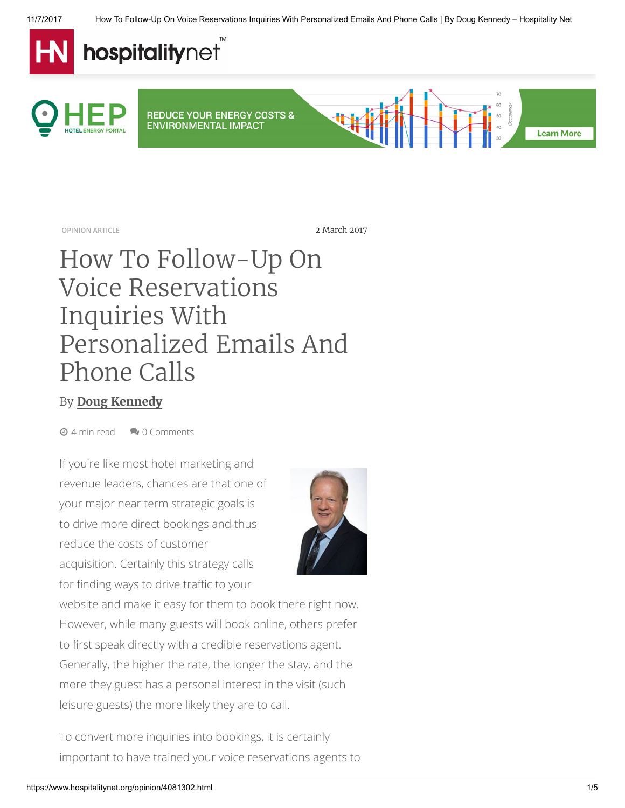

OPINION ARTICLE 2017

## How To Follow-Up On Voice Reservations Inquiries With Personalized Emails And Phone Calls

## By [Doug Kennedy](https://www.hospitalitynet.org/author/148000826/doug-kennedy.html)

**<sup>⊙</sup>** 4 min read **2** 0 Comments

If you're like most hotel marketing and revenue leaders, chances are that one of your major near term strategic goals is to drive more direct bookings and thus reduce the costs of customer acquisition. Certainly this strategy calls

for finding ways to drive traffic to your



website and make it easy for them to book there right now. However, while many guests will book online, others prefer to first speak directly with a credible reservations agent. Generally, the higher the rate, the longer the stay, and the more they guest has a personal interest in the visit (such leisure guests) the more likely they are to call.

To convert more inquiries into bookings, it is certainly important to have trained your voice reservations agents to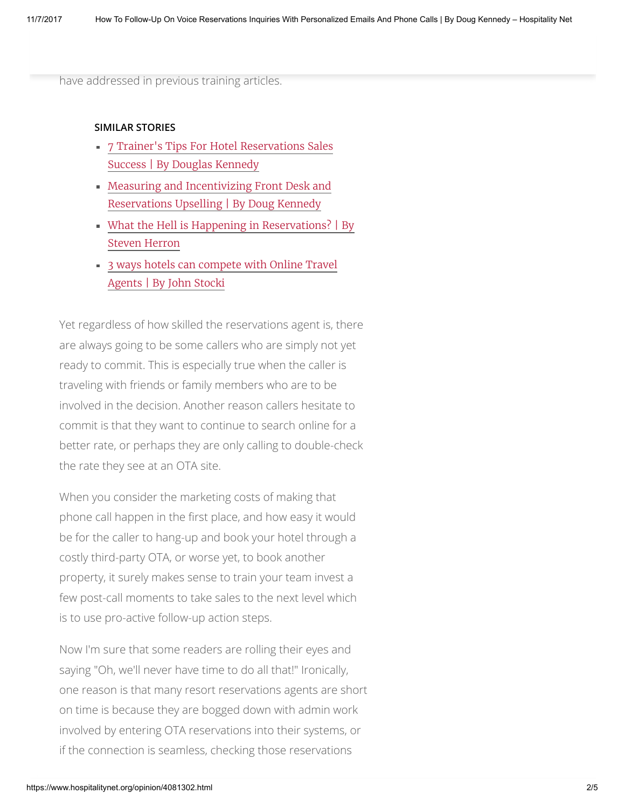have addressed in previous training articles.

## SIMILAR STORIES

- 7 Trainer's Tips For Hotel [Reservations](https://www.hospitalitynet.org/news/4084107.html) Sales Success | By Douglas Kennedy
- Measuring and [Incentivizing](https://www.hospitalitynet.org/news/4084646.html) Front Desk and Reservations Upselling | By Doug Kennedy
- What the Hell is Happening in [Reservations?](https://www.hospitalitynet.org/news/4082409.html) | By Steven Herron
- 3 ways hotels can [compete](https://www.hospitalitynet.org/news/4080800.html) with Online Travel Agents | By John Stocki

Yet regardless of how skilled the reservations agent is, there are always going to be some callers who are simply not yet ready to commit. This is especially true when the caller is traveling with friends or family members who are to be involved in the decision. Another reason callers hesitate to commit is that they want to continue to search online for a better rate, or perhaps they are only calling to double-check the rate they see at an OTA site.

When you consider the marketing costs of making that phone call happen in the first place, and how easy it would be for the caller to hang-up and book your hotel through a costly third-party OTA, or worse yet, to book another property, it surely makes sense to train your team invest a few post-call moments to take sales to the next level which is to use pro-active follow-up action steps.

Now I'm sure that some readers are rolling their eyes and saying "Oh, we'll never have time to do all that!" Ironically, one reason is that many resort reservations agents are short on time is because they are bogged down with admin work involved by entering OTA reservations into their systems, or if the connection is seamless, checking those reservations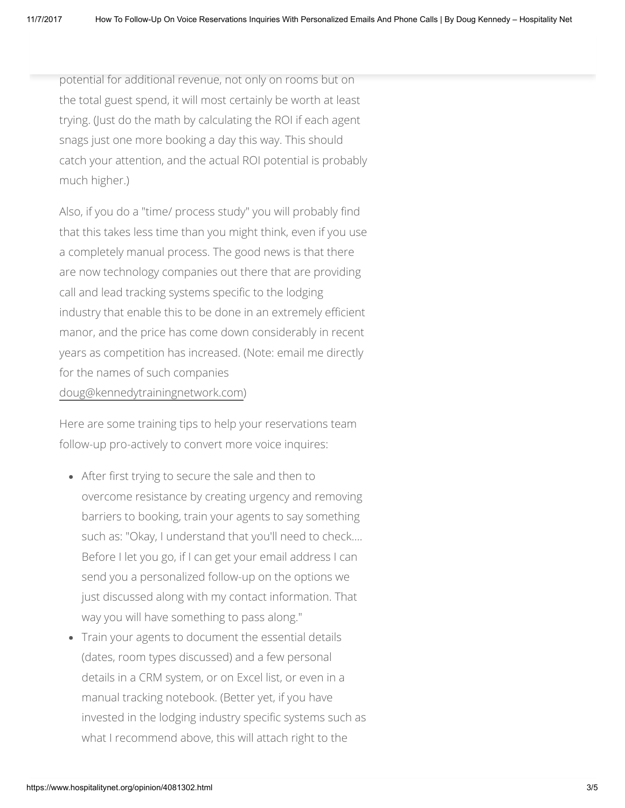potential for additional revenue, not only on rooms but on the total guest spend, it will most certainly be worth at least trying. (Just do the math by calculating the ROI if each agent snags just one more booking a day this way. This should catch your attention, and the actual ROI potential is probably much higher.)

Also, if you do a "time/ process study" you will probably find that this takes less time than you might think, even if you use a completely manual process. The good news is that there are now technology companies out there that are providing call and lead tracking systems specific to the lodging industry that enable this to be done in an extremely efficient manor, and the price has come down considerably in recent years as competition has increased. (Note: email me directly for the names of such companies [doug@kennedytrainingnetwork.com\)](mailto:doug@kennedytrainingnetwork.com)

Here are some training tips to help your reservations team follow-up pro-actively to convert more voice inquires:

- After first trying to secure the sale and then to overcome resistance by creating urgency and removing barriers to booking, train your agents to say something such as: "Okay, I understand that you'll need to check…. Before I let you go, if I can get your email address I can send you a personalized follow-up on the options we just discussed along with my contact information. That way you will have something to pass along."
- Train your agents to document the essential details (dates, room types discussed) and a few personal details in a CRM system, or on Excel list, or even in a manual tracking notebook. (Better yet, if you have invested in the lodging industry specific systems such as what I recommend above, this will attach right to the